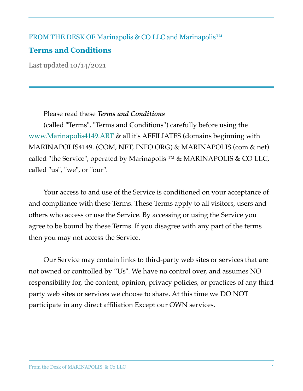## FROM THE DESK OF Marinapolis & CO LLC and Marinapolis™

# **Terms and Conditions**

Last updated 10/14/2021

Please read these *Terms and Conditions*

(called "Terms", "Terms and Conditions") carefully before using the www.Marinapolis4149.ART & all it's AFFILIATES (domains beginning with MARINAPOLIS4149. (COM, NET, INFO ORG) & MARINAPOLIS (com & net) called "the Service", operated by Marinapolis ™ & MARINAPOLIS & CO LLC, called "us", "we", or "our".

Your access to and use of the Service is conditioned on your acceptance of and compliance with these Terms. These Terms apply to all visitors, users and others who access or use the Service. By accessing or using the Service you agree to be bound by these Terms. If you disagree with any part of the terms then you may not access the Service.

Our Service may contain links to third-party web sites or services that are not owned or controlled by "Us". We have no control over, and assumes NO responsibility for, the content, opinion, privacy policies, or practices of any third party web sites or services we choose to share. At this time we DO NOT participate in any direct affiliation Except our OWN services.